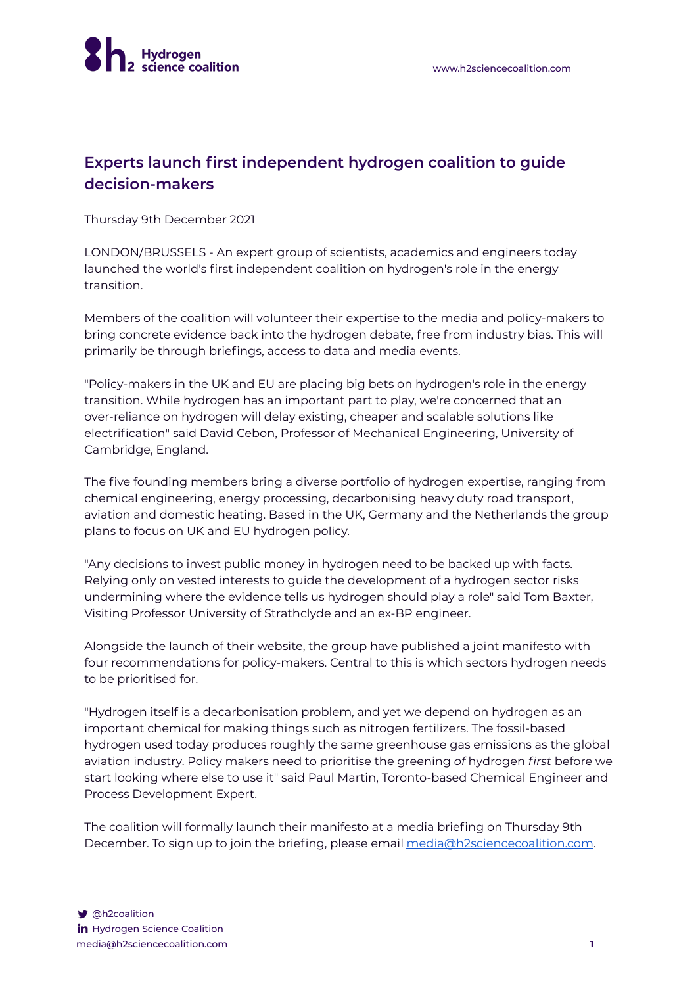## **Experts launch first independent hydrogen coalition to guide decision-makers**

Thursday 9th December 2021

LONDON/BRUSSELS - An expert group of scientists, academics and engineers today launched the world's first independent coalition on hydrogen's role in the energy transition.

Members of the coalition will volunteer their expertise to the media and policy-makers to bring concrete evidence back into the hydrogen debate, free from industry bias. This will primarily be through briefings, access to data and media events.

"Policy-makers in the UK and EU are placing big bets on hydrogen's role in the energy transition. While hydrogen has an important part to play, we're concerned that an over-reliance on hydrogen will delay existing, cheaper and scalable solutions like electrification" said David Cebon, Professor of Mechanical Engineering, University of Cambridge, England.

The five founding members bring a diverse portfolio of hydrogen expertise, ranging from chemical engineering, energy processing, decarbonising heavy duty road transport, aviation and domestic heating. Based in the UK, Germany and the Netherlands the group plans to focus on UK and EU hydrogen policy.

"Any decisions to invest public money in hydrogen need to be backed up with facts. Relying only on vested interests to guide the development of a hydrogen sector risks undermining where the evidence tells us hydrogen should play a role" said Tom Baxter, Visiting Professor University of Strathclyde and an ex-BP engineer.

Alongside the launch of their website, the group have published a joint manifesto with four recommendations for policy-makers. Central to this is which sectors hydrogen needs to be prioritised for.

"Hydrogen itself is a decarbonisation problem, and yet we depend on hydrogen as an important chemical for making things such as nitrogen fertilizers. The fossil-based hydrogen used today produces roughly the same greenhouse gas emissions as the global aviation industry. Policy makers need to prioritise the greening *of* hydrogen *first* before we start looking where else to use it" said Paul Martin, Toronto-based Chemical Engineer and Process Development Expert.

The coalition will formally launch their manifesto at a media briefing on Thursday 9th December. To sign up to join the briefing, please email [media@h2sciencecoalition.com.](mailto:media@h2sciencecoalition.com)